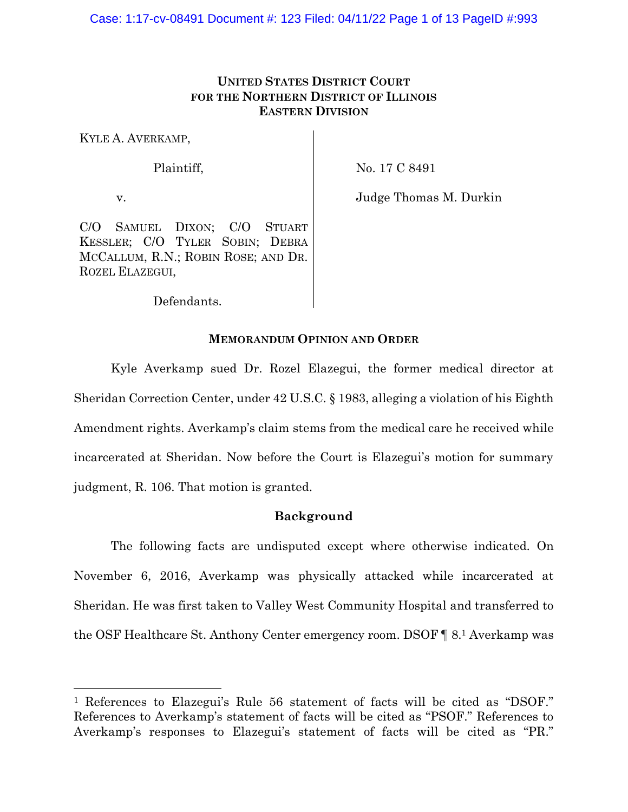# **UNITED STATES DISTRICT COURT FOR THE NORTHERN DISTRICT OF ILLINOIS EASTERN DIVISION**

KYLE A. AVERKAMP,

### Plaintiff,

No. 17 C 8491

v.

Judge Thomas M. Durkin

C/O SAMUEL DIXON; C/O STUART KESSLER; C/O TYLER SOBIN; DEBRA MCCALLUM, R.N.; ROBIN ROSE; AND DR. ROZEL ELAZEGUI,

Defendants.

## **MEMORANDUM OPINION AND ORDER**

Kyle Averkamp sued Dr. Rozel Elazegui, the former medical director at Sheridan Correction Center, under 42 U.S.C. § 1983, alleging a violation of his Eighth Amendment rights. Averkamp's claim stems from the medical care he received while incarcerated at Sheridan. Now before the Court is Elazegui's motion for summary judgment, R. 106. That motion is granted.

### **Background**

The following facts are undisputed except where otherwise indicated. On November 6, 2016, Averkamp was physically attacked while incarcerated at Sheridan. He was first taken to Valley West Community Hospital and transferred to the OSF Healthcare St. Anthony Center emergency room. DSOF ¶ 8.<sup>1</sup> Averkamp was

<sup>1</sup> References to Elazegui's Rule 56 statement of facts will be cited as "DSOF." References to Averkamp's statement of facts will be cited as "PSOF." References to Averkamp's responses to Elazegui's statement of facts will be cited as "PR."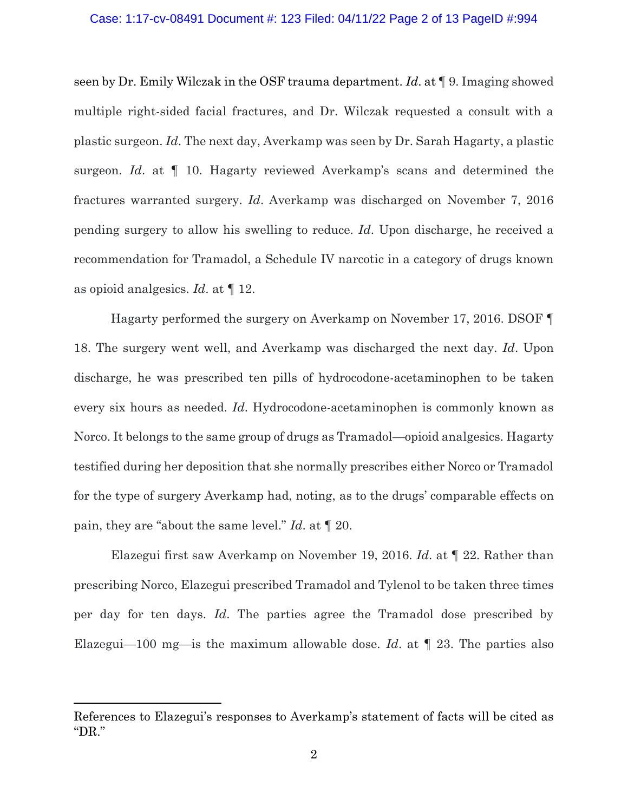### Case: 1:17-cv-08491 Document #: 123 Filed: 04/11/22 Page 2 of 13 PageID #:994

seen by Dr. Emily Wilczak in the OSF trauma department. *Id*. at ¶ 9. Imaging showed multiple right-sided facial fractures, and Dr. Wilczak requested a consult with a plastic surgeon. *Id*. The next day, Averkamp was seen by Dr. Sarah Hagarty, a plastic surgeon. *Id*. at ¶ 10. Hagarty reviewed Averkamp's scans and determined the fractures warranted surgery. *Id*. Averkamp was discharged on November 7, 2016 pending surgery to allow his swelling to reduce. *Id*. Upon discharge, he received a recommendation for Tramadol, a Schedule IV narcotic in a category of drugs known as opioid analgesics. *Id*. at ¶ 12.

Hagarty performed the surgery on Averkamp on November 17, 2016. DSOF ¶ 18. The surgery went well, and Averkamp was discharged the next day. *Id*. Upon discharge, he was prescribed ten pills of hydrocodone-acetaminophen to be taken every six hours as needed. *Id*. Hydrocodone-acetaminophen is commonly known as Norco. It belongs to the same group of drugs as Tramadol—opioid analgesics. Hagarty testified during her deposition that she normally prescribes either Norco or Tramadol for the type of surgery Averkamp had, noting, as to the drugs' comparable effects on pain, they are "about the same level." *Id*. at ¶ 20.

Elazegui first saw Averkamp on November 19, 2016. *Id*. at ¶ 22. Rather than prescribing Norco, Elazegui prescribed Tramadol and Tylenol to be taken three times per day for ten days. *Id*. The parties agree the Tramadol dose prescribed by Elazegui—100 mg—is the maximum allowable dose. *Id*. at ¶ 23. The parties also

References to Elazegui's responses to Averkamp's statement of facts will be cited as "DR."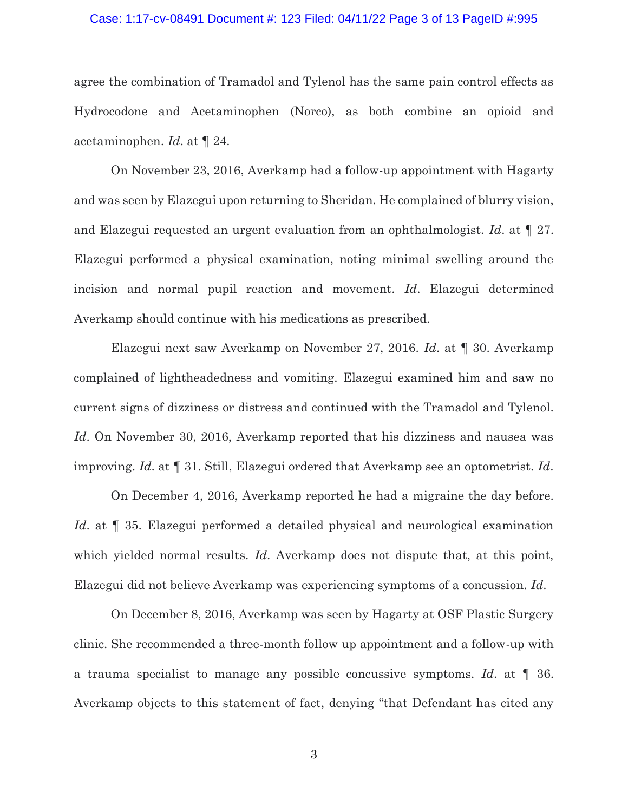### Case: 1:17-cv-08491 Document #: 123 Filed: 04/11/22 Page 3 of 13 PageID #:995

agree the combination of Tramadol and Tylenol has the same pain control effects as Hydrocodone and Acetaminophen (Norco), as both combine an opioid and acetaminophen. *Id*. at ¶ 24.

On November 23, 2016, Averkamp had a follow-up appointment with Hagarty and was seen by Elazegui upon returning to Sheridan. He complained of blurry vision, and Elazegui requested an urgent evaluation from an ophthalmologist. *Id*. at ¶ 27. Elazegui performed a physical examination, noting minimal swelling around the incision and normal pupil reaction and movement. *Id*. Elazegui determined Averkamp should continue with his medications as prescribed.

Elazegui next saw Averkamp on November 27, 2016. *Id*. at ¶ 30. Averkamp complained of lightheadedness and vomiting. Elazegui examined him and saw no current signs of dizziness or distress and continued with the Tramadol and Tylenol. *Id*. On November 30, 2016, Averkamp reported that his dizziness and nausea was improving. *Id*. at ¶ 31. Still, Elazegui ordered that Averkamp see an optometrist. *Id*.

On December 4, 2016, Averkamp reported he had a migraine the day before. *Id.* at  $\llbracket$  35. Elazegui performed a detailed physical and neurological examination which yielded normal results. *Id*. Averkamp does not dispute that, at this point, Elazegui did not believe Averkamp was experiencing symptoms of a concussion. *Id*.

On December 8, 2016, Averkamp was seen by Hagarty at OSF Plastic Surgery clinic. She recommended a three-month follow up appointment and a follow-up with a trauma specialist to manage any possible concussive symptoms. *Id*. at ¶ 36. Averkamp objects to this statement of fact, denying "that Defendant has cited any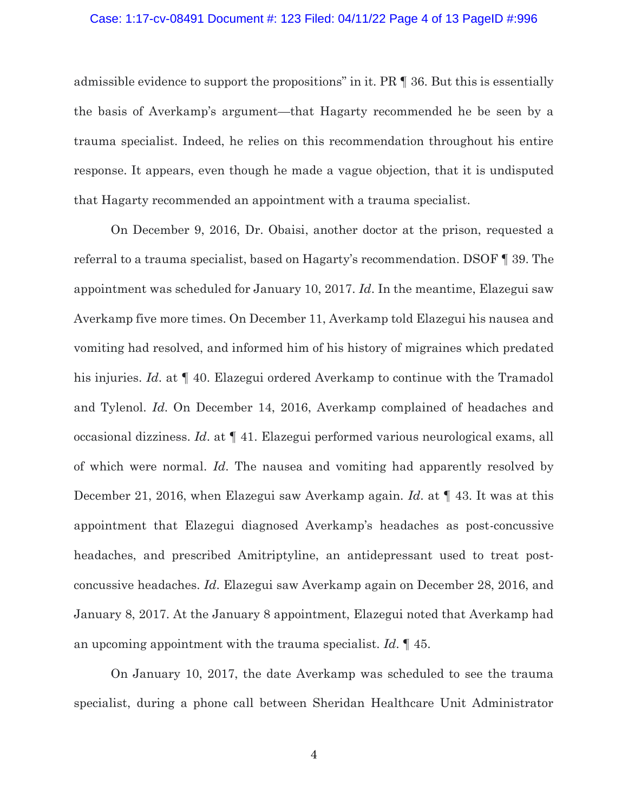### Case: 1:17-cv-08491 Document #: 123 Filed: 04/11/22 Page 4 of 13 PageID #:996

admissible evidence to support the propositions" in it. PR ¶ 36. But this is essentially the basis of Averkamp's argument—that Hagarty recommended he be seen by a trauma specialist. Indeed, he relies on this recommendation throughout his entire response. It appears, even though he made a vague objection, that it is undisputed that Hagarty recommended an appointment with a trauma specialist.

On December 9, 2016, Dr. Obaisi, another doctor at the prison, requested a referral to a trauma specialist, based on Hagarty's recommendation. DSOF ¶ 39. The appointment was scheduled for January 10, 2017. *Id*. In the meantime, Elazegui saw Averkamp five more times. On December 11, Averkamp told Elazegui his nausea and vomiting had resolved, and informed him of his history of migraines which predated his injuries. *Id*. at ¶ 40. Elazegui ordered Averkamp to continue with the Tramadol and Tylenol. *Id*. On December 14, 2016, Averkamp complained of headaches and occasional dizziness. *Id*. at ¶ 41. Elazegui performed various neurological exams, all of which were normal. *Id*. The nausea and vomiting had apparently resolved by December 21, 2016, when Elazegui saw Averkamp again. *Id*. at ¶ 43. It was at this appointment that Elazegui diagnosed Averkamp's headaches as post-concussive headaches, and prescribed Amitriptyline, an antidepressant used to treat postconcussive headaches. *Id*. Elazegui saw Averkamp again on December 28, 2016, and January 8, 2017. At the January 8 appointment, Elazegui noted that Averkamp had an upcoming appointment with the trauma specialist. *Id*. ¶ 45.

On January 10, 2017, the date Averkamp was scheduled to see the trauma specialist, during a phone call between Sheridan Healthcare Unit Administrator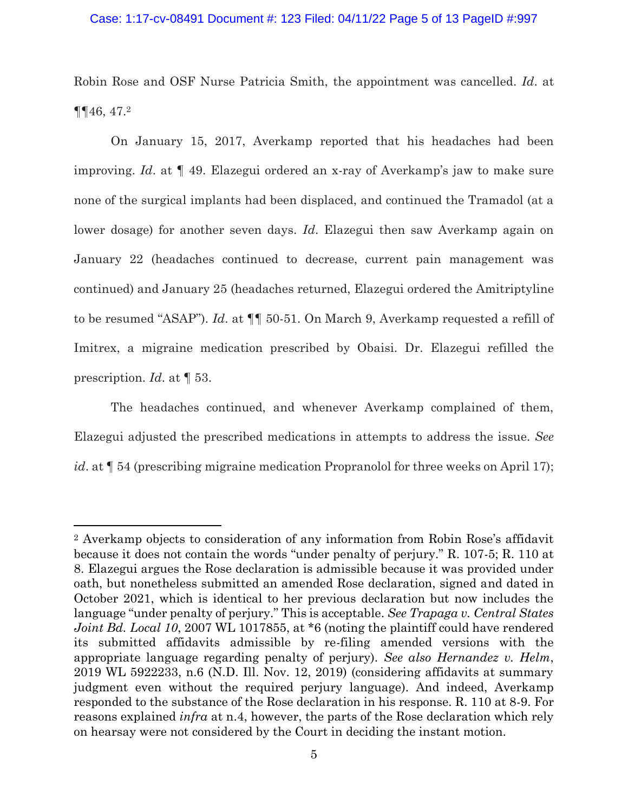### Case: 1:17-cv-08491 Document #: 123 Filed: 04/11/22 Page 5 of 13 PageID #:997

Robin Rose and OSF Nurse Patricia Smith, the appointment was cancelled. *Id*. at ¶¶46, 47.<sup>2</sup>

On January 15, 2017, Averkamp reported that his headaches had been improving. *Id*. at ¶ 49. Elazegui ordered an x-ray of Averkamp's jaw to make sure none of the surgical implants had been displaced, and continued the Tramadol (at a lower dosage) for another seven days. *Id*. Elazegui then saw Averkamp again on January 22 (headaches continued to decrease, current pain management was continued) and January 25 (headaches returned, Elazegui ordered the Amitriptyline to be resumed "ASAP"). *Id*. at ¶¶ 50-51. On March 9, Averkamp requested a refill of Imitrex, a migraine medication prescribed by Obaisi. Dr. Elazegui refilled the prescription. *Id*. at ¶ 53.

The headaches continued, and whenever Averkamp complained of them, Elazegui adjusted the prescribed medications in attempts to address the issue. *See id*. at  $\llbracket 54$  (prescribing migraine medication Propranolol for three weeks on April 17);

<sup>2</sup> Averkamp objects to consideration of any information from Robin Rose's affidavit because it does not contain the words "under penalty of perjury." R. 107-5; R. 110 at 8. Elazegui argues the Rose declaration is admissible because it was provided under oath, but nonetheless submitted an amended Rose declaration, signed and dated in October 2021, which is identical to her previous declaration but now includes the language "under penalty of perjury." This is acceptable. *See Trapaga v. Central States Joint Bd. Local 10, 2007 WL 1017855, at*  $*6$  (noting the plaintiff could have rendered its submitted affidavits admissible by re-filing amended versions with the appropriate language regarding penalty of perjury). *See also Hernandez v. Helm*, 2019 WL 5922233, n.6 (N.D. Ill. Nov. 12, 2019) (considering affidavits at summary judgment even without the required perjury language). And indeed, Averkamp responded to the substance of the Rose declaration in his response. R. 110 at 8-9. For reasons explained *infra* at n.4, however, the parts of the Rose declaration which rely on hearsay were not considered by the Court in deciding the instant motion.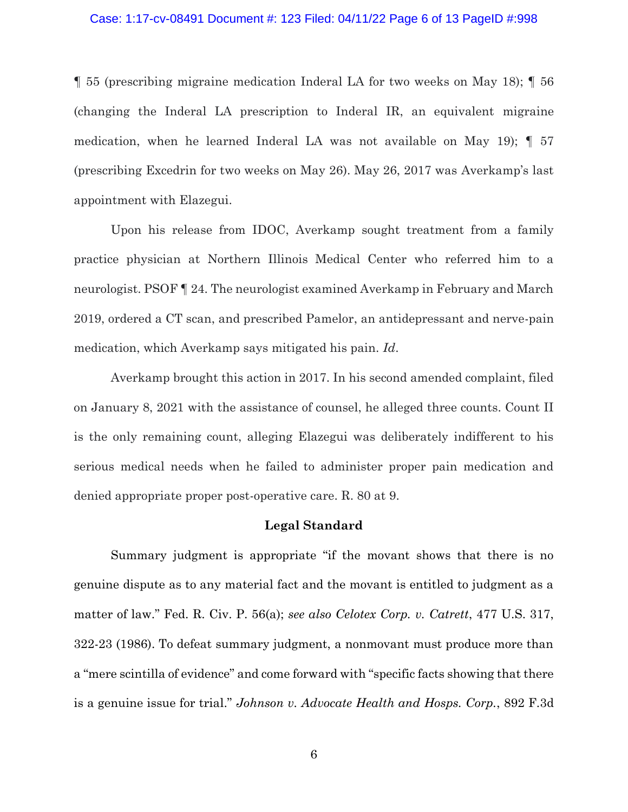### Case: 1:17-cv-08491 Document #: 123 Filed: 04/11/22 Page 6 of 13 PageID #:998

¶ 55 (prescribing migraine medication Inderal LA for two weeks on May 18); ¶ 56 (changing the Inderal LA prescription to Inderal IR, an equivalent migraine medication, when he learned Inderal LA was not available on May 19); ¶ 57 (prescribing Excedrin for two weeks on May 26). May 26, 2017 was Averkamp's last appointment with Elazegui.

Upon his release from IDOC, Averkamp sought treatment from a family practice physician at Northern Illinois Medical Center who referred him to a neurologist. PSOF ¶ 24. The neurologist examined Averkamp in February and March 2019, ordered a CT scan, and prescribed Pamelor, an antidepressant and nerve-pain medication, which Averkamp says mitigated his pain. *Id*.

Averkamp brought this action in 2017. In his second amended complaint, filed on January 8, 2021 with the assistance of counsel, he alleged three counts. Count II is the only remaining count, alleging Elazegui was deliberately indifferent to his serious medical needs when he failed to administer proper pain medication and denied appropriate proper post-operative care. R. 80 at 9.

### **Legal Standard**

Summary judgment is appropriate "if the movant shows that there is no genuine dispute as to any material fact and the movant is entitled to judgment as a matter of law." Fed. R. Civ. P. 56(a); *see also Celotex Corp. v. Catrett*, 477 U.S. 317, 322-23 (1986). To defeat summary judgment, a nonmovant must produce more than a "mere scintilla of evidence" and come forward with "specific facts showing that there is a genuine issue for trial." *Johnson v. Advocate Health and Hosps. Corp.*, 892 F.3d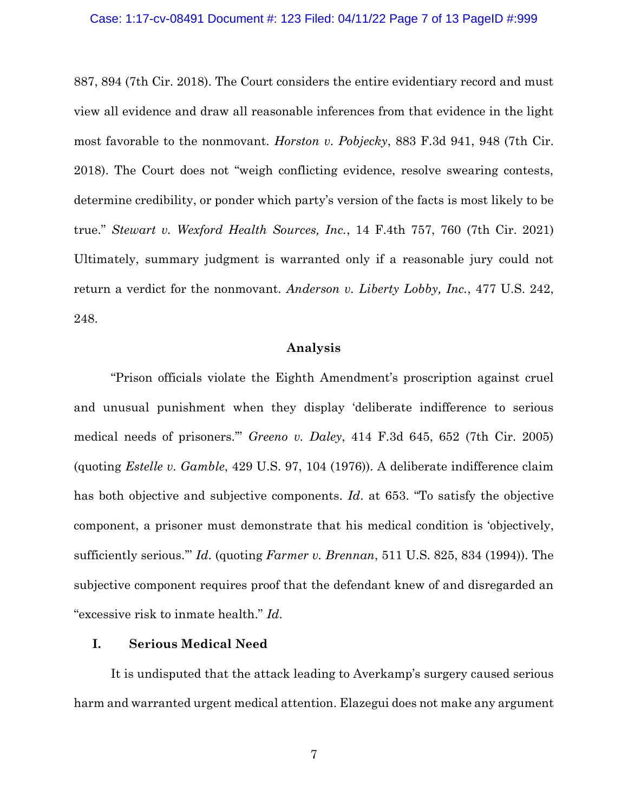887, 894 (7th Cir. 2018). The Court considers the entire evidentiary record and must view all evidence and draw all reasonable inferences from that evidence in the light most favorable to the nonmovant. *Horston v. Pobjecky*, 883 F.3d 941, 948 (7th Cir. 2018). The Court does not "weigh conflicting evidence, resolve swearing contests, determine credibility, or ponder which party's version of the facts is most likely to be true." *Stewart v. Wexford Health Sources, Inc.*, 14 F.4th 757, 760 (7th Cir. 2021) Ultimately, summary judgment is warranted only if a reasonable jury could not return a verdict for the nonmovant. *Anderson v. Liberty Lobby, Inc.*, 477 U.S. 242, 248.

### **Analysis**

"Prison officials violate the Eighth Amendment's proscription against cruel and unusual punishment when they display 'deliberate indifference to serious medical needs of prisoners.'" *Greeno v. Daley*, 414 F.3d 645, 652 (7th Cir. 2005) (quoting *Estelle v. Gamble*, 429 U.S. 97, 104 (1976)). A deliberate indifference claim has both objective and subjective components. *Id*. at 653. "To satisfy the objective component, a prisoner must demonstrate that his medical condition is 'objectively, sufficiently serious.'" *Id*. (quoting *Farmer v. Brennan*, 511 U.S. 825, 834 (1994)). The subjective component requires proof that the defendant knew of and disregarded an "excessive risk to inmate health." *Id*.

## **I. Serious Medical Need**

It is undisputed that the attack leading to Averkamp's surgery caused serious harm and warranted urgent medical attention. Elazegui does not make any argument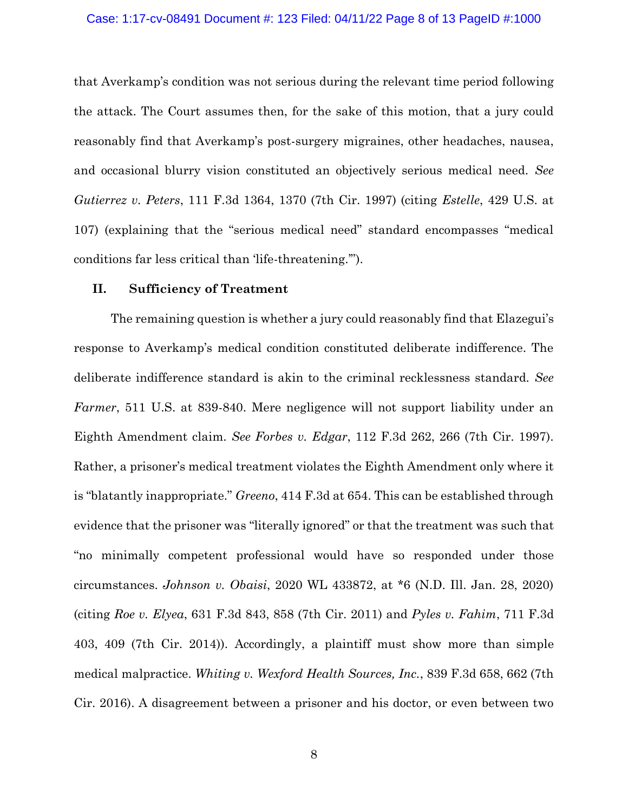#### Case: 1:17-cv-08491 Document #: 123 Filed: 04/11/22 Page 8 of 13 PageID #:1000

that Averkamp's condition was not serious during the relevant time period following the attack. The Court assumes then, for the sake of this motion, that a jury could reasonably find that Averkamp's post-surgery migraines, other headaches, nausea, and occasional blurry vision constituted an objectively serious medical need. *See Gutierrez v. Peters*, 111 F.3d 1364, 1370 (7th Cir. 1997) (citing *Estelle*, 429 U.S. at 107) (explaining that the "serious medical need" standard encompasses "medical conditions far less critical than 'life-threatening.'").

## **II. Sufficiency of Treatment**

The remaining question is whether a jury could reasonably find that Elazegui's response to Averkamp's medical condition constituted deliberate indifference. The deliberate indifference standard is akin to the criminal recklessness standard. *See Farmer*, 511 U.S. at 839-840. Mere negligence will not support liability under an Eighth Amendment claim. *See Forbes v. Edgar*, 112 F.3d 262, 266 (7th Cir. 1997). Rather, a prisoner's medical treatment violates the Eighth Amendment only where it is "blatantly inappropriate." *Greeno*, 414 F.3d at 654. This can be established through evidence that the prisoner was "literally ignored" or that the treatment was such that "no minimally competent professional would have so responded under those circumstances. *Johnson v. Obaisi*, 2020 WL 433872, at \*6 (N.D. Ill. Jan. 28, 2020) (citing *Roe v. Elyea*, 631 F.3d 843, 858 (7th Cir. 2011) and *Pyles v. Fahim*, 711 F.3d 403, 409 (7th Cir. 2014)). Accordingly, a plaintiff must show more than simple medical malpractice. *Whiting v. Wexford Health Sources, Inc.*, 839 F.3d 658, 662 (7th Cir. 2016). A disagreement between a prisoner and his doctor, or even between two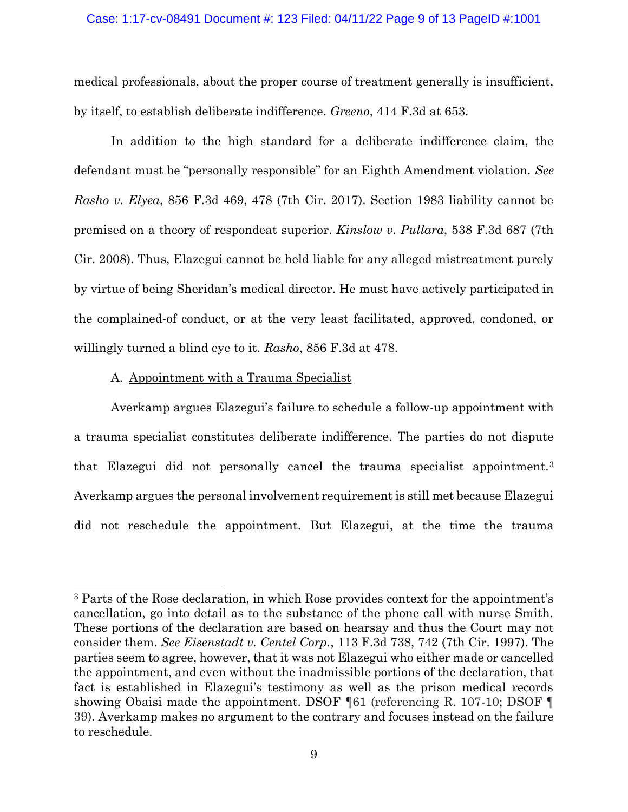### Case: 1:17-cv-08491 Document #: 123 Filed: 04/11/22 Page 9 of 13 PageID #:1001

medical professionals, about the proper course of treatment generally is insufficient, by itself, to establish deliberate indifference. *Greeno*, 414 F.3d at 653.

In addition to the high standard for a deliberate indifference claim, the defendant must be "personally responsible" for an Eighth Amendment violation. *See Rasho v. Elyea*, 856 F.3d 469, 478 (7th Cir. 2017). Section 1983 liability cannot be premised on a theory of respondeat superior. *Kinslow v. Pullara*, 538 F.3d 687 (7th Cir. 2008). Thus, Elazegui cannot be held liable for any alleged mistreatment purely by virtue of being Sheridan's medical director. He must have actively participated in the complained-of conduct, or at the very least facilitated, approved, condoned, or willingly turned a blind eye to it. *Rasho*, 856 F.3d at 478.

## A. Appointment with a Trauma Specialist

Averkamp argues Elazegui's failure to schedule a follow-up appointment with a trauma specialist constitutes deliberate indifference. The parties do not dispute that Elazegui did not personally cancel the trauma specialist appointment.<sup>3</sup> Averkamp argues the personal involvement requirement is still met because Elazegui did not reschedule the appointment. But Elazegui, at the time the trauma

<sup>3</sup> Parts of the Rose declaration, in which Rose provides context for the appointment's cancellation, go into detail as to the substance of the phone call with nurse Smith. These portions of the declaration are based on hearsay and thus the Court may not consider them. *See Eisenstadt v. Centel Corp.*, 113 F.3d 738, 742 (7th Cir. 1997). The parties seem to agree, however, that it was not Elazegui who either made or cancelled the appointment, and even without the inadmissible portions of the declaration, that fact is established in Elazegui's testimony as well as the prison medical records showing Obaisi made the appointment. DSOF ¶61 (referencing R. 107-10; DSOF ¶ 39). Averkamp makes no argument to the contrary and focuses instead on the failure to reschedule.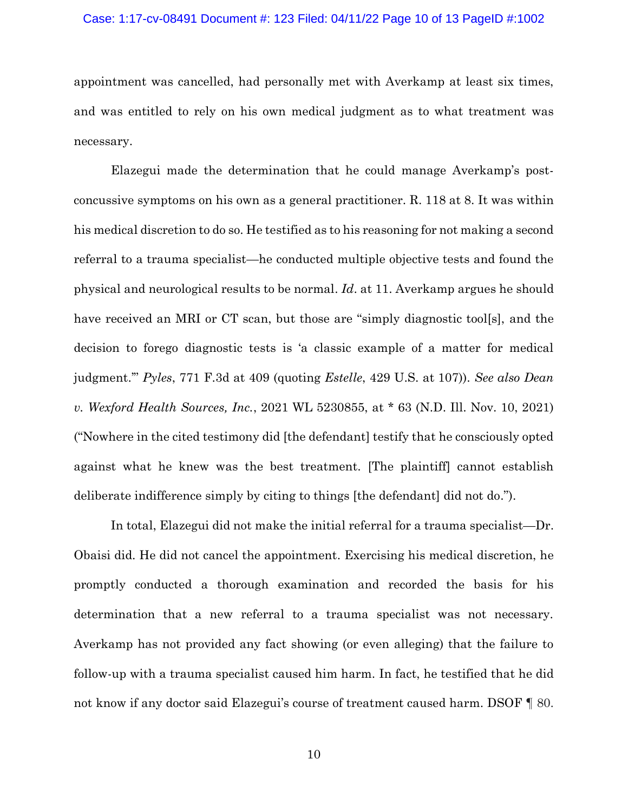### Case: 1:17-cv-08491 Document #: 123 Filed: 04/11/22 Page 10 of 13 PageID #:1002

appointment was cancelled, had personally met with Averkamp at least six times, and was entitled to rely on his own medical judgment as to what treatment was necessary.

Elazegui made the determination that he could manage Averkamp's postconcussive symptoms on his own as a general practitioner. R. 118 at 8. It was within his medical discretion to do so. He testified as to his reasoning for not making a second referral to a trauma specialist—he conducted multiple objective tests and found the physical and neurological results to be normal. *Id*. at 11. Averkamp argues he should have received an MRI or CT scan, but those are "simply diagnostic tool[s], and the decision to forego diagnostic tests is 'a classic example of a matter for medical judgment.'" *Pyles*, 771 F.3d at 409 (quoting *Estelle*, 429 U.S. at 107)). *See also Dean v. Wexford Health Sources, Inc.*, 2021 WL 5230855, at \* 63 (N.D. Ill. Nov. 10, 2021) ("Nowhere in the cited testimony did [the defendant] testify that he consciously opted against what he knew was the best treatment. [The plaintiff] cannot establish deliberate indifference simply by citing to things [the defendant] did not do.").

In total, Elazegui did not make the initial referral for a trauma specialist—Dr. Obaisi did. He did not cancel the appointment. Exercising his medical discretion, he promptly conducted a thorough examination and recorded the basis for his determination that a new referral to a trauma specialist was not necessary. Averkamp has not provided any fact showing (or even alleging) that the failure to follow-up with a trauma specialist caused him harm. In fact, he testified that he did not know if any doctor said Elazegui's course of treatment caused harm. DSOF ¶ 80.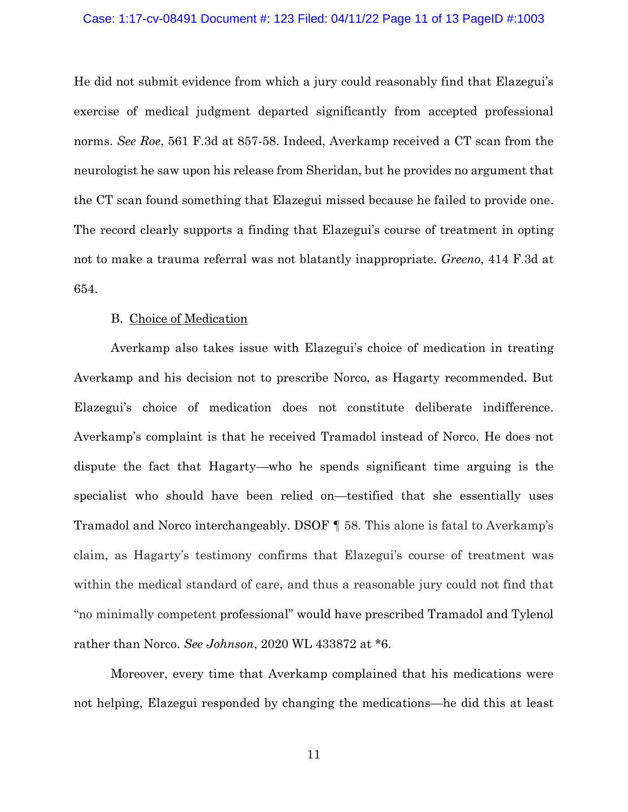### Case: 1:17-cv-08491 Document #: 123 Filed: 04/11/22 Page 11 of 13 PageID #:1003

He did not submit evidence from which a jury could reasonably find that Elazegui's exercise of medical judgment departed significantly from accepted professional norms. *See Roe*, 561 F.3d at 857-58. Indeed, Averkamp received a CT scan from the neurologist he saw upon his release from Sheridan, but he provides no argument that the CT scan found something that Elazegui missed because he failed to provide one. The record clearly supports a finding that Elazegui's course of treatment in opting not to make a trauma referral was not blatantly inappropriate. *Greeno*, 414 F.3d at 654.

### B. Choice of Medication

Averkamp also takes issue with Elazegui's choice of medication in treating Averkamp and his decision not to prescribe Norco, as Hagarty recommended. But Elazegui's choice of medication does not constitute deliberate indifference. Averkamp's complaint is that he received Tramadol instead of Norco. He does not dispute the fact that Hagarty—who he spends significant time arguing is the specialist who should have been relied on—testified that she essentially uses Tramadol and Norco interchangeably. DSOF ¶ 58. This alone is fatal to Averkamp's claim, as Hagarty's testimony confirms that Elazegui's course of treatment was within the medical standard of care, and thus a reasonable jury could not find that "no minimally competent professional" would have prescribed Tramadol and Tylenol rather than Norco. *See Johnson*, 2020 WL 433872 at \*6.

Moreover, every time that Averkamp complained that his medications were not helping, Elazegui responded by changing the medications—he did this at least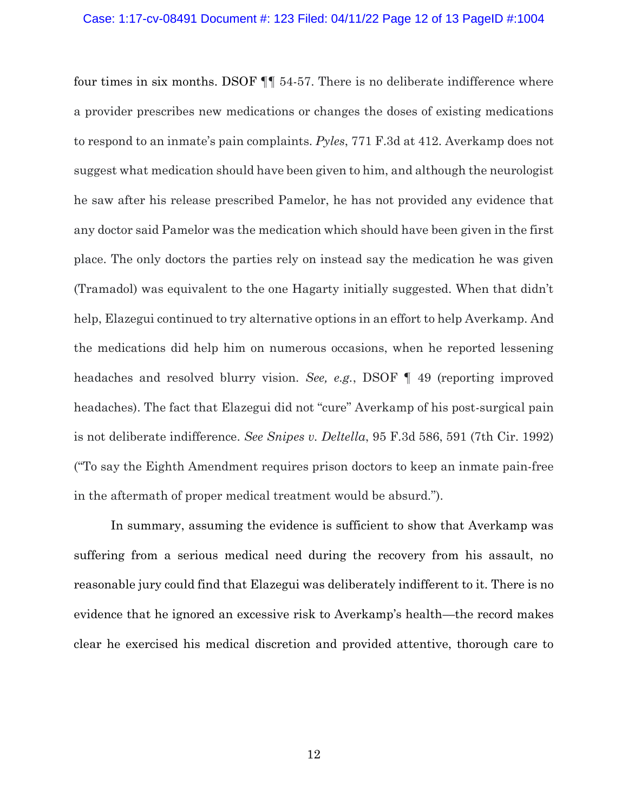#### Case: 1:17-cv-08491 Document #: 123 Filed: 04/11/22 Page 12 of 13 PageID #:1004

four times in six months. DSOF ¶¶ 54-57. There is no deliberate indifference where a provider prescribes new medications or changes the doses of existing medications to respond to an inmate's pain complaints. *Pyles*, 771 F.3d at 412. Averkamp does not suggest what medication should have been given to him, and although the neurologist he saw after his release prescribed Pamelor, he has not provided any evidence that any doctor said Pamelor was the medication which should have been given in the first place. The only doctors the parties rely on instead say the medication he was given (Tramadol) was equivalent to the one Hagarty initially suggested. When that didn't help, Elazegui continued to try alternative options in an effort to help Averkamp. And the medications did help him on numerous occasions, when he reported lessening headaches and resolved blurry vision. *See, e.g.*, DSOF ¶ 49 (reporting improved headaches). The fact that Elazegui did not "cure" Averkamp of his post-surgical pain is not deliberate indifference. *See Snipes v. Deltella*, 95 F.3d 586, 591 (7th Cir. 1992) ("To say the Eighth Amendment requires prison doctors to keep an inmate pain-free in the aftermath of proper medical treatment would be absurd.").

In summary, assuming the evidence is sufficient to show that Averkamp was suffering from a serious medical need during the recovery from his assault, no reasonable jury could find that Elazegui was deliberately indifferent to it. There is no evidence that he ignored an excessive risk to Averkamp's health—the record makes clear he exercised his medical discretion and provided attentive, thorough care to